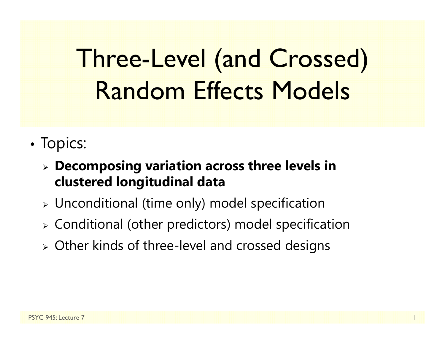# Three-Level (and Crossed) Random Effects Models

- •• Topics:
	- **Decomposing variation across three levels in clustered longitudinal data**
	- $\triangleright$  Unconditional (time only) model specification
	- Conditional (other predictors) model specification
	- Other kinds of three-level and crossed designs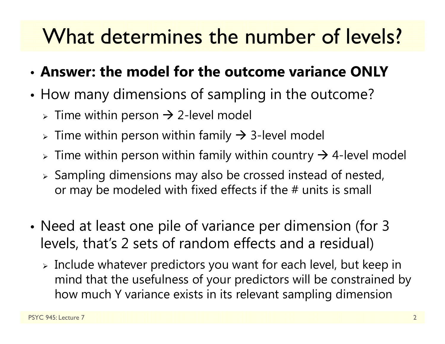## What determines the number of levels?

- **Answer: the model for the outcome variance ONLY**
- • How many dimensions of sampling in the outcome?
	- $\triangleright$  Time within person  $\rightarrow$  2-level model
	- $\triangleright$  Time within person within family  $\rightarrow$  3-level model
	- $\triangleright$  Time within person within family within country  $\rightarrow$  4-level model
	- $\triangleright$  Sampling dimensions may also be crossed instead of nested, or may be modeled with fixed effects if the # units is small
- • Need at least one pile of variance per dimension (for 3 levels, that's 2 sets of random effects and a residual)
	- $\triangleright$  Include whatever predictors you want for each level, but keep in mind that the usefulness of your predictors will be constrained by how much Y variance exists in its relevant sampling dimension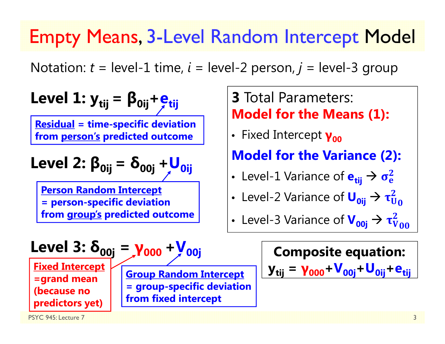#### Empty Means, 3-Level Random Intercept Model

Notation:  $t = level-1$  time,  $i = level-2$  person,  $j = level-3$  group

| Level 1: $y_{tij} = \beta_{0ij} + e_{tij}$                                                                                                       | 3 Total Parameters:                                          |                                                        |
|--------------------------------------------------------------------------------------------------------------------------------------------------|--------------------------------------------------------------|--------------------------------------------------------|
| Residual = time-specific deviation from person's predicted outcome                                                                               | Fixed Intercept                                              |                                                        |
| Level 2: $\beta_{0ij} = \delta_{00j} + U_{0ij}$                                                                                                  | Model for the Variance (2):                                  |                                                        |
| Person Random Intercept = person-specific deviation from group's predicted outcome from group's predicted outcome from group's predicted outcome | Level-2 Variance of $U_{0ij} \rightarrow \tau_{U_{00}}^2$    |                                                        |
| Level 3: $\delta_{00j} = \gamma_{000} + V_{00j}$                                                                                                 | Complete-3 Variance of $V_{00j} \rightarrow \tau_{V_{00}}^2$ |                                                        |
| Fixed Intercept = grand mean (because no<br>predactors yet)                                                                                      | Group Random Intercept = group-specific deviation            | $y_{tij} = \gamma_{000} + V_{00j} + U_{0ij} + e_{tij}$ |

 $\tau_{V_{00}}^2$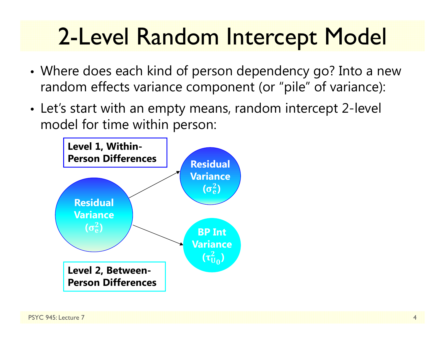# 2-Level Random Intercept Model

- • Where does each kind of person dependency go? Into a new random effects variance component (or "pile" of variance):
- Let's start with an empty means, random intercept 2-level model for time within person:

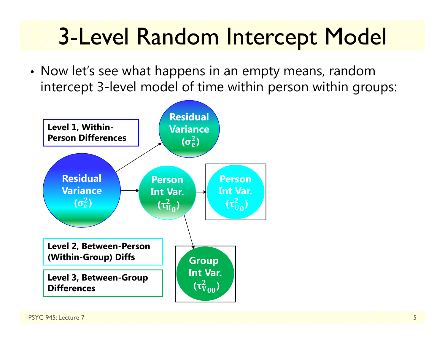# 3-Level Random Intercept Model

• Now let's see what happens in an empty means, random intercept 3-level model of time within person within groups:

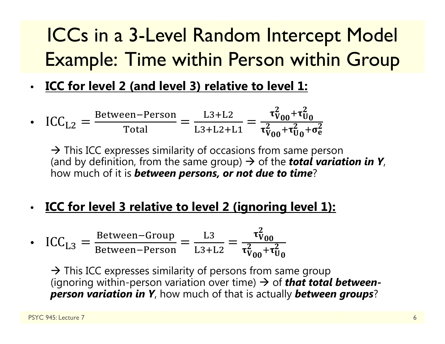### ICCs in a 3-Level Random Intercept Model Example: Time within Person within Group

• **ICC for level 2 (and level 3) relative to level 1:**

• 
$$
\text{ICC}_{\text{L2}} = \frac{\text{Between-Person}}{\text{Total}} = \frac{\text{L3+L2}}{\text{L3+L2+L1}} = \frac{\tau_{V_{00}}^2 + \tau_{U_0}^2}{\tau_{V_{00}}^2 + \tau_{U_0}^2 + \sigma_e^2}
$$

 $\rightarrow$  This ICC expresses similarity of occasions from same person (and by definition, from the same group)  $\rightarrow$  of the *total variation in Y,* how much of it is *between persons, or not due to time* ?

•**ICC for level 3 relative to level 2 (ignoring level 1):**

• 
$$
\text{ICC}_{\text{L3}} = \frac{\text{Between-Group}}{\text{Between-Person}} = \frac{\text{L3}}{\text{L3+L2}} = \frac{\tau_{V_{00}}^2}{\tau_{V_{00}}^2 + \tau_{U_0}^2}
$$

 $\rightarrow$  This ICC expresses similarity of persons from same group (ignoring within-person variation over time)  $\rightarrow$  of *that total betweenperson variation in Y*, how much of that is actually *between groups* ?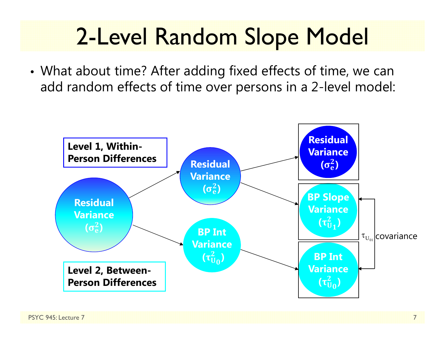## 2-Level Random Slope Model

• What about time? After adding fixed effects of time, we can add random effects of time over persons in a 2-level model:

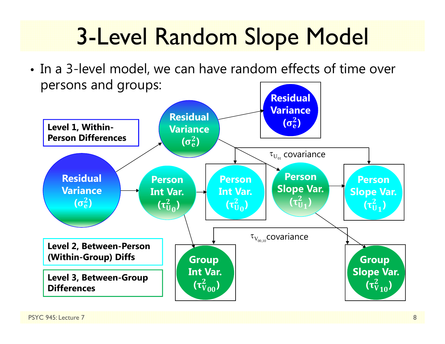# 3-Level Random Slope Model

• In a 3-level model, we can have random effects of time over persons and groups:

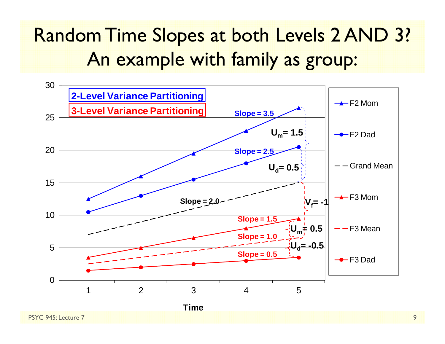#### Random Time Slopes at both Levels 2 AND 3? An example with family as group:

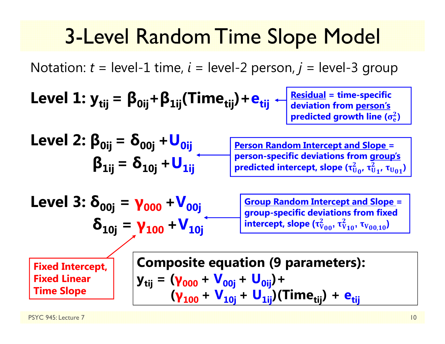### 3-Level Random Time Slope Model

Notation: *t* = level-1 time, *i* = level-2 person, *j* = level-3 group

Level 1: 
$$
y_{tij} = \beta_{0ij} + \beta_{1ij} (Time_{tij}) + e_{tij} + \beta_{\text{deviation from person's predicted growth line (or a given time)}
$$

| Level 2: $\beta_{0ij} = \delta_{00j} + U_{0ij}$ | Person Random Intercept and Slope = person-specific deviations from group's<br>predictions from group's predicted intercept, slope $(\tau_{U_0}^2, \tau_{U_1}^2, \tau_{U_{01}})$ |
|-------------------------------------------------|----------------------------------------------------------------------------------------------------------------------------------------------------------------------------------|
|-------------------------------------------------|----------------------------------------------------------------------------------------------------------------------------------------------------------------------------------|

| Level 3: $\delta_{00j} = \gamma_{000} + V_{00j}$ | Group Random Intercept and Slope = group-specific deviations from fixed intercept, slope $(\tau_{v_{00}}^2, \tau_{v_{10}}^2, \tau_{v_{00,10}}^2)$ |
|--------------------------------------------------|---------------------------------------------------------------------------------------------------------------------------------------------------|
|--------------------------------------------------|---------------------------------------------------------------------------------------------------------------------------------------------------|

**Fixed Intercept, Fixed Linear Time Slope**

**Composite equation (9 parameters):**  
\n
$$
y_{tij} = (\gamma_{000} + V_{00j} + U_{0ij}) +
$$
\n
$$
(\gamma_{100} + V_{10j} + U_{1ij})(Time_{tij}) + e_{tij}
$$

 $\sigma_{\rm e}$ **)**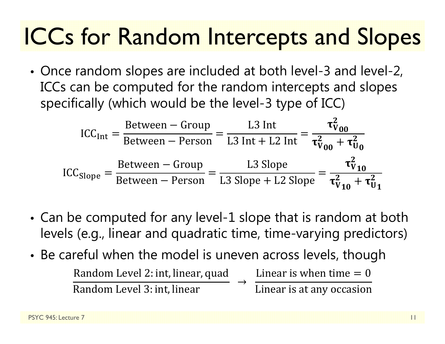# ICCs for Random Intercepts and Slopes

• Once random slopes are included at both level-3 and level-2, ICCs can be computed for the random intercepts and slopes specifically (which would be the level-3 type of ICC)

$$
ICC_{\text{Int}} = \frac{\text{Between} - \text{Group}}{\text{Between} - \text{Person}} = \frac{L3 \text{ Int}}{L3 \text{ Int} + L2 \text{ Int}} = \frac{\tau_{V_{00}}^2}{\tau_{V_{00}}^2 + \tau_{U_0}^2}
$$

$$
ICC_{\text{Slope}} = \frac{\text{Between} - \text{Group}}{\text{Between} - \text{Person}} = \frac{L3 \text{ Slope}}{L3 \text{ Slope} + L2 \text{Slope}} = \frac{\tau_{V_{10}}^2}{\tau_{V_{10}}^2 + \tau_{U_1}^2}
$$

- • Can be computed for any level-1 slope that is random at both levels (e.g., linear and quadratic time, time-varying predictors)
- • Be careful when the model is uneven across levels, though Random Level 2: int, linear, quad Random Level 3: int, linear Linear is when time  $= 0$ Linear is at any occasion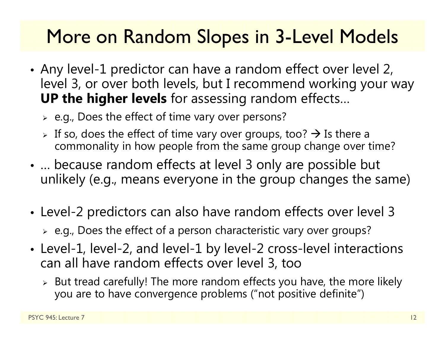#### More on Random Slopes in 3-Level Models

- • Any level-1 predictor can have a random effect over level 2, level 3, or over both levels, but I recommend working your way **UP the higher levels** for assessing random effects…
	- $\triangleright$  e.g., Does the effect of time vary over persons?
	- $\triangleright$  If so, does the effect of time vary over groups, too?  $\rightarrow$  Is there a commonality in how people from the same group change over time?
- • … because random effects at level 3 only are possible but unlikely (e.g., means everyone in the group changes the same)
- • Level-2 predictors can also have random effects over level 3
	- $\triangleright$  e.g., Does the effect of a person characteristic vary over groups?
- Level-1, level-2, and level-1 by level-2 cross-level interactions can all have random effects over level 3, too
	- $\triangleright$  But tread carefully! The more random effects you have, the more likely you are to have convergence problems ("not positive definite")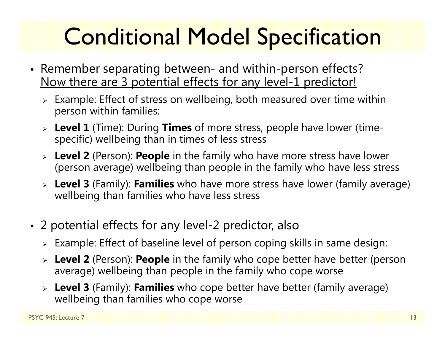# Conditional Model Specification

- Remember separating between- and within-person effects? Now there are 3 potential effects for any level-1 predictor!
	- $\triangleright$  Example: Effect of stress on wellbeing, both measured over time within person within families:
	- **Level 1** (Time): During **Times** of more stress, people have lower (timespecific) wellbeing than in times of less stress
	- **Level 2** (Person): **People** in the family who have more stress have lower (person average) wellbeing than people in the family who have less stress
	- **Level 3** (Family): **Families** who have more stress have lower (family average) wellbeing than families who have less stress
- 2 potential effects for any level-2 predictor, also
	- $\triangleright$  Example: Effect of baseline level of person coping skills in same design:
	- **Level 2** (Person): **People** in the family who cope better have better (person average) wellbeing than people in the family who cope worse
	- **Level 3** (Family): **Families** who cope better have better (family average) wellbeing than families who cope worse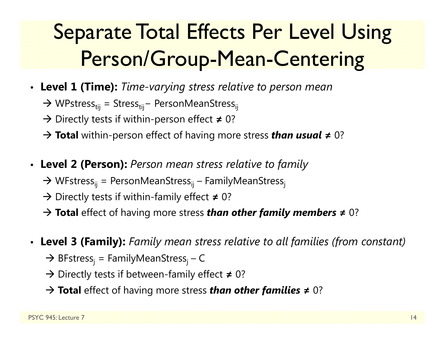## Separate Total Effects Per Level Using Person/Group-Mean-Centering

• **Level 1 (Time):** *Time-varying stress relative to person mean*

→ WPstress<sub>tij</sub> = Stress<sub>tij</sub>- PersonMeanStress<sub>ij</sub>

→ Directly tests if within-person effect ≠ 0?

**Total** within-person effect of having more stress *than usual* **<sup>≠</sup>** 0?

- **Level 2 (Person):** *Person mean stress relative to family*
	- $\rightarrow$  WFstress<sub>ij</sub> = PersonMeanStress<sub>ij</sub> FamilyMeanStress<sub>j</sub>
	- → Directly tests if within-family effect ≠ 0?
	- **Total** effect of having more stress *than other family members* **<sup>≠</sup>** 0?
- **Level 3 (Family):** *Family mean stress relative to all families (from constant)*
	- → BFstress<sub>j</sub> = FamilyMeanStress<sub>j</sub> C
	- Directly tests if between-family effect **<sup>≠</sup>** 0?
	- **Total** effect of having more stress *than other families* **<sup>≠</sup>** 0?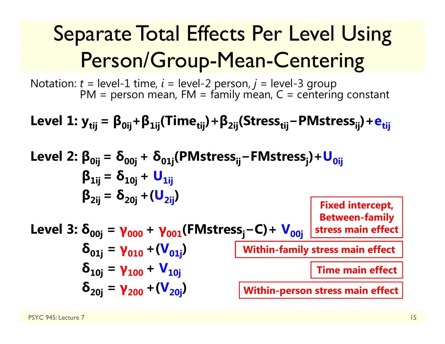## Separate Total Effects Per Level Using Person/Group-Mean-Centering

Notation: *t* = level-1 time, *i* = level-2 person, *<sup>j</sup>* = level-3 group PM = person mean, FM = family mean, C = centering constant

**Level 1: ytij <sup>=</sup> β0ij + β1ij(Timetij)+ β2ij(Stresstij <sup>−</sup>PMstressij)+ etij**

Level 2: 
$$
\beta_{0ij} = \delta_{00j} + \delta_{01j}(\text{PMstress}_{ij} - \text{FMstress}_{j}) + U_{0ij}
$$

\n $\beta_{1ij} = \delta_{10j} + U_{1ij}$ 

\n $\beta_{2ij} = \delta_{20j} + (U_{2ij})$ 

\nLevel 3:  $\delta_{00j} = \gamma_{000} + \gamma_{001}(\text{FMstress}_{j} - \text{C}) + \gamma_{00j}$ 

\nFixed intercept, Between-family Between-family Systems main effect

\n $\delta_{01j} = \gamma_{010} + (\gamma_{01j})$ 

\nWithin-family stress main effect

\n $\delta_{20j} = \gamma_{200} + (\gamma_{20j})$ 

\nWithin-person stress main effect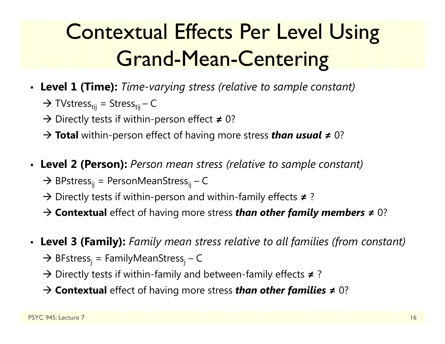## Contextual Effects Per Level Using Grand-Mean-Centering

- **Level 1 (Time):** *Time-varying stress (relative to sample constant)*
	- $\rightarrow$  TVstress $_{\rm tij}$  = Stress $_{\rm tij}$  C
	- → Directly tests if within-person effect ≠ 0?
	- **Total** within-person effect of having more stress *than usual* **≠** 0?
- **Level 2 (Person):** *Person mean stress (relative to sample constant)*
	- $\rightarrow$  BPstress<sub>ij</sub> = PersonMeanStress<sub>ij</sub> C
	- → Directly tests if within-person and within-family effects ≠?
	- **Contextual** effect of having more stress *than other family members* **≠** 0?
- **Level 3 (Family):** *Family mean stress relative to all families (from constant)*
	- → BFstress<sub>j</sub> = FamilyMeanStress<sub>j</sub> C
	- Directly tests if within-family and between-family effects **≠** ?
	- **Contextual** effect of having more stress *than other families* **≠** 0?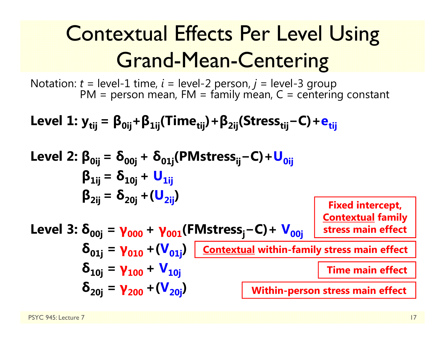## Contextual Effects Per Level Using Grand-Mean-Centering

Notation: *t* = level-1 time, *i* = level-2 person, *<sup>j</sup>* = level-3 group PM = person mean, FM = family mean, C = centering constant

**Level 1: ytij <sup>=</sup> β0ij + β1ij(Timetij)+ β2ij(Stresstij <sup>−</sup>C)+ etij**

Level 2: 
$$
\beta_{0ij} = \delta_{00j} + \delta_{01j}(PMstress_{ij} - C) + U_{0ij}
$$

\n $\beta_{1ij} = \delta_{10j} + U_{1ij}$ 

\n $\beta_{2ij} = \delta_{20j} + (U_{2ij})$ 

\nFixed intercept,

\nLevel 3:  $\delta_{00j} = \gamma_{000} + \gamma_{001}(FMstress_j - C) + V_{00j}$ 

\nFixed intercept,

\n $\delta_{01j} = \gamma_{010} + (V_{01j})$ 

\nContextual family stress main effect

\n $\delta_{10j} = \gamma_{100} + V_{10j}$ 

\nTime main effect

\n $\delta_{20j} = \gamma_{200} + (V_{20j})$ 

\nWithin-person stress main effect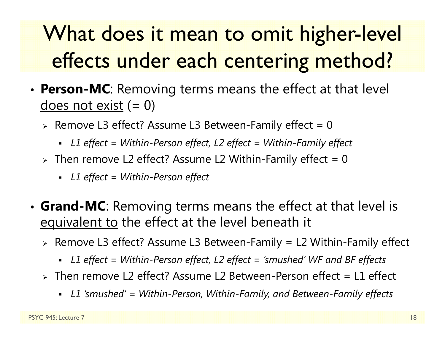## What does it mean to omit higher-level effects under each centering method?

- • **Person-MC**: Removing terms means the effect at that level  $d$ oes not exist  $(= 0)$ 
	- $\triangleright$  Remove L3 effect? Assume L3 Between-Family effect = 0  $\triangleright$ 
		- *L1 effect = Within-Person effect, L2 effect = Within-Family effect*
	- $\triangleright$  Then remove L2 effect? Assume L2 Within-Family effect = 0
		- *L1 effect = Within-Person effect*
- • **Grand-MC**: Removing terms means the effect at that level is equivalent to the effect at the level beneath it
	- Remove L3 effect? Assume L3 Between-Family = L2 Within-Family effect
		- *L1 effect = Within-Person effect, L2 effect = 'smushed' WF and BF effects*
	- Then remove L2 effect? Assume L2 Between-Person effect = L1 effect
		- *L1 'smushed' = Within-Person, Within-Family, and Between-Family effects*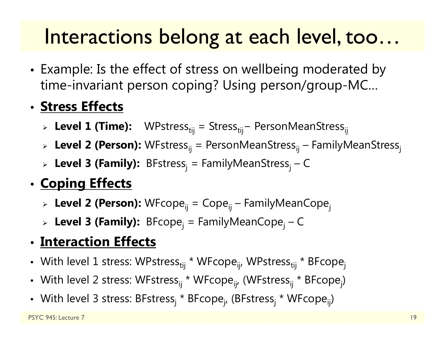### Interactions belong at each level, too…

• Example: Is the effect of stress on wellbeing moderated by time-invariant person coping? Using person/group-MC…

#### • **Stress Effects**

- > Le**vel 1 (Time):** WPstress<sub>tij</sub> = Stress<sub>tij</sub> − PersonMeanStress<sub>ij</sub>
- > **Level 2 (Person):** WFstress<sub>ij</sub> = PersonMeanStress<sub>ij</sub> FamilyMeanStress<sub>j</sub>
- > Level 3 (Family): BFstress<sub>j</sub> = FamilyMeanStress<sub>j</sub> C

#### •**Coping Effects**

- > **Level 2 (Person):** WFcope<sub>ij</sub> = Cope<sub>ij</sub> FamilyMeanCope<sub>j</sub>
- **Level 3 (Family):** BFcopej = FamilyMeanCopej <sup>C</sup>

#### • **Interaction Effects**

- With level 1 stress: WPstress<sub>tij</sub> \* WFcope<sub>ij</sub>, WPstress<sub>tij</sub> \* BFcope<sub>j</sub>
- With level 2 stress: WFstress<sub>ij</sub> \* WFcope<sub>ij</sub>, (WFstress<sub>ij</sub> \* BFcope<sub>j</sub>)
- With level 3 stress: BFstress<sub>j</sub> \* BFcope<sub>j</sub>, (BFstress<sub>j</sub> \* WFcope<sub>ij</sub>)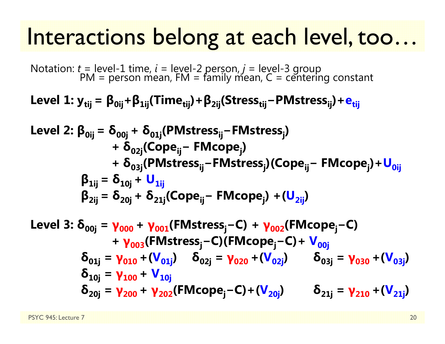### Interactions belong at each level, too…

Notation: *t* = level-1 time, *i* = level-2 person, *<sup>j</sup>* = level-3 group PM = person mean, FM = family mean, C = centering constant

**Level 1: ytij <sup>=</sup> β0ij + β1ij(Timetij)+ β2ij(Stresstij <sup>−</sup>PMstressij)+ etij**

Level 2: 
$$
\beta_{0ij} = \delta_{00j} + \delta_{01j}(\text{PMstress}_{ij} - \text{FMstress}_{j}) + \delta_{02j}(\text{Cope}_{ij} - \text{FMcope}_{j}) + \delta_{03j}(\text{PMstress}_{ij} - \text{FMstress}_{j})(\text{Cope}_{ij} - \text{FMcope}_{j}) + U_{0ij}
$$

\n $\beta_{1ij} = \delta_{10j} + U_{1ij}$ 

\n $\beta_{2ij} = \delta_{20j} + \delta_{21j}(\text{Cope}_{ij} - \text{FMcope}_{j}) + (U_{2ij})$ 

Level 3: 
$$
\delta_{00j} = \gamma_{000} + \gamma_{001}(\text{FMstress}_j - C) + \gamma_{002}(\text{FMcope}_j - C)
$$

\n $+ \gamma_{003}(\text{FMstress}_j - C)(\text{FMcope}_j - C) + \mathbf{V}_{00j}$ 

\n $\delta_{01j} = \gamma_{010} + (\mathbf{V}_{01j})$   $\delta_{02j} = \gamma_{020} + (\mathbf{V}_{02j})$   $\delta_{03j} = \gamma_{030} + (\mathbf{V}_{03j})$ 

\n $\delta_{10j} = \gamma_{100} + \mathbf{V}_{10j}$ 

\n $\delta_{20j} = \gamma_{200} + \gamma_{202}(\text{FMcope}_j - C) + (\mathbf{V}_{20j})$   $\delta_{21j} = \gamma_{210} + (\mathbf{V}_{21j})$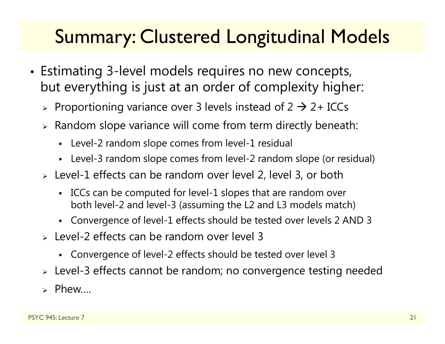#### Summary: Clustered Longitudinal Models

- Estimating 3-level models requires no new concepts, but everything is just at an order of complexity higher:
	- $\triangleright$  Proportioning variance over 3 levels instead of 2  $\rightarrow$  2+ ICCs
	- $\triangleright$  Random slope variance will come from term directly beneath:
		- $\blacksquare$ Level-2 random slope comes from level-1 residual
		- Level-3 random slope comes from level-2 random slope (or residual)
	- Level-1 effects can be random over level 2, level 3, or both
		- ICCs can be computed for level-1 slopes that are random over both level-2 and level-3 (assuming the L2 and L3 models match)
		- Convergence of level-1 effects should be tested over levels 2 AND 3
	- Level-2 effects can be random over level 3
		- Convergence of level-2 effects should be tested over level 3
	- Level-3 effects cannot be random; no convergence testing needed
	- Phew….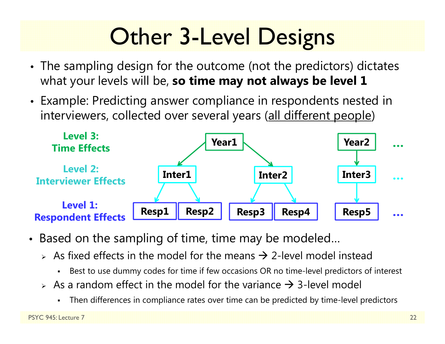# **Other 3-Level Designs**

- The sampling design for the outcome (not the predictors) dictates what your levels will be, **so time may not always be level 1**
- Example: Predicting answer compliance in respondents nested in interviewers, collected over several years (all different people)



- Based on the sampling of time, time may be modeled…
	- $\triangleright$  As fixed effects in the model for the means  $\rightarrow$  2-level model instead
		- ٠ Best to use dummy codes for time if few occasions OR no time-level predictors of interest
	- $\triangleright$  As a random effect in the model for the variance  $\rightarrow$  3-level model
		- Г Then differences in compliance rates over time can be predicted by time-level predictors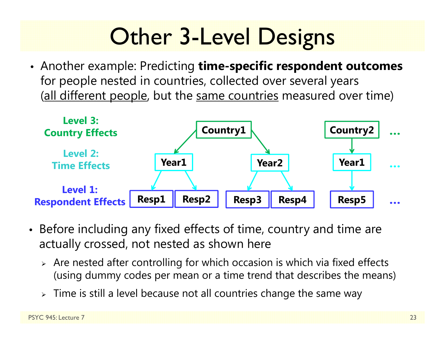# **Other 3-Level Designs**

• Another example: Predicting **time-specific respondent outcomes**  for people nested in countries, collected over several years (all different people, but the same countries measured over time)



- Before including any fixed effects of time, country and time are actually crossed, not nested as shown here
	- $\triangleright$  Are nested after controlling for which occasion is which via fixed effects (using dummy codes per mean or a time trend that describes the means)
	- $\triangleright$  Time is still a level because not all countries change the same way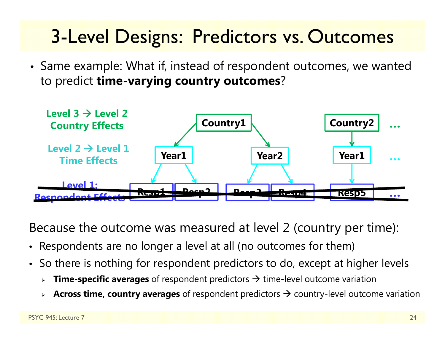#### 3-Level Designs: Predictors vs. Outcomes

• Same example: What if, instead of respondent outcomes, we wanted to predict **time-varying country outcomes** ?



Because the outcome was measured at level 2 (country per time):

- Respondents are no longer a level at all (no outcomes for them)
- So there is nothing for respondent predictors to do, except at higher levels
	- ⋗ **► Time-specific averages** of respondent predictors → time-level outcome variation
	- ⋗ **Across time, country averages** of respondent predictors  $\rightarrow$  country-level outcome variation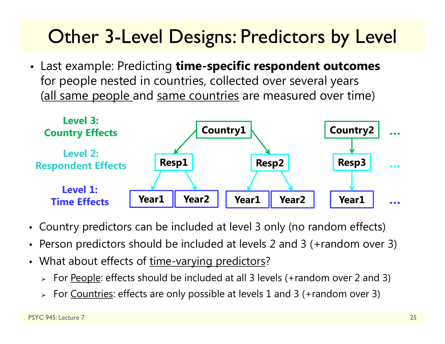#### **Other 3-Level Designs: Predictors by Level**

• Last example: Predicting **time-specific respondent outcomes**  for people nested in countries, collected over several years (all same people and same countries are measured over time)



- Country predictors can be included at level 3 only (no random effects)
- Person predictors should be included at levels 2 and 3 (+random over 3)
- What about effects of <u>time-varying predictors</u>?
	- > For <u>People</u>: effects should be included at all 3 levels (+random over 2 and 3)
	- > For <u>Countries</u>: effects are only possible at levels 1 and 3 (+random over 3)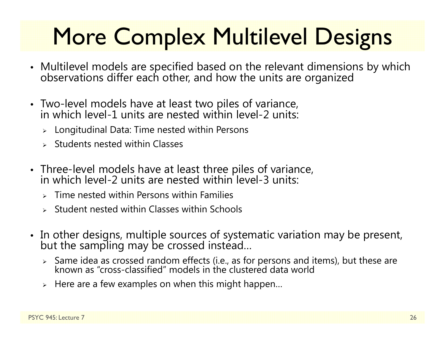# More Complex Multilevel Designs

- Multilevel models are specified based on the relevant dimensions by which<br>observations differ each other, and how the units are organized
- Two-level models have at least two piles of variance, in which level-1 units are nested within level-2 units:
	- $\triangleright$  Longitudinal Data: Time nested within Persons
	- $\triangleright$  Students nested within Classes
- Three-level models have at least three piles of variance, in which level-2 units are nested within level-3 units:
	- $\triangleright$  Time nested within Persons within Families
	- $\triangleright$  Student nested within Classes within Schools
- In other designs, multiple sources of systematic variation may be present,<br>but the sampling may be crossed instead…
	- $\triangleright$  Same idea as crossed random effects (i.e., as for persons and items), but these are known as "cross-classified" models in the clustered data world
	- $\triangleright$  Here are a few examples on when this might happen...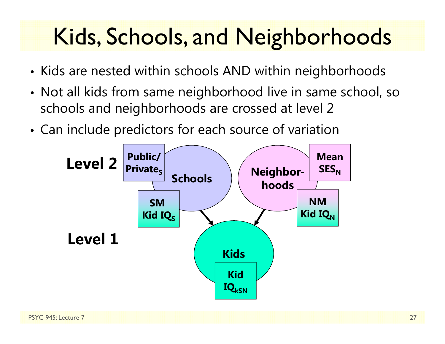# Kids, Schools, and Neighborhoods

- Kids are nested within schools AND within neighborhoods
- • Not all kids from same neighborhood live in same school, so schools and neighborhoods are crossed at level 2
- •Can include predictors for each source of variation

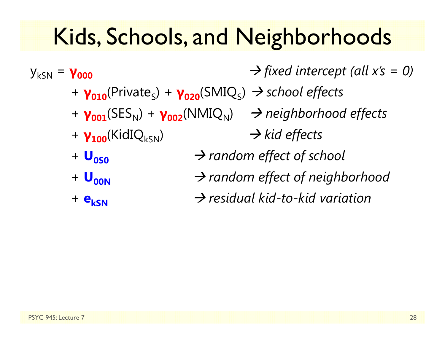## Kids, Schools, and Neighborhoods

ykSN <sup>=</sup> **γ000** *fixed intercept (all x's = 0)* + **γ010**(Private S) + **γ020**(SMIQ S) *school effects* + **γ001**(SES N) + **γ002**(NMIQ N) *neighborhood effects* + **γ<sub>100</sub>**(KidIQ<sub>kSN</sub>) **→ kid effects** + **U0S0** $\rightarrow$  random effect of school +  $\bf{U}_{00N}$  $\rightarrow$  random effect of neighborhood + **ekSN** $\rightarrow$  residual kid-to-kid variation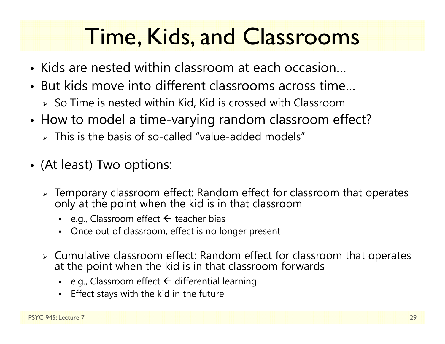## Time, Kids, and Classrooms

- Kids are nested within classroom at each occasion…
- But kids move into different classrooms across time…
	- $\triangleright$  So Time is nested within Kid, Kid is crossed with Classroom
- • How to model a time-varying random classroom effect?
	- $\triangleright$  This is the basis of so-called "value-added models"
- (At least) Two options:
	- $\triangleright$  Temporary classroom effect: Random effect for classroom that operates only at the point when the kid is in that classroom
		- e.g., Classroom effect  $\leftarrow$  teacher bias
		- Once out of classroom, effect is no longer present
	- Cumulative classroom effect: Random effect for classroom that operates at the point when the kid is in that classroom forwards
		- n • e.g., Classroom effect  $\Leftarrow$  differential learning
		- n Effect stays with the kid in the future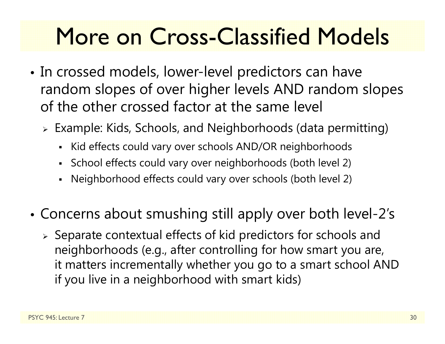## More on Cross-Classified Models

- • In crossed models, lower-level predictors can have random slopes of over higher levels AND random slopes of the other crossed factor at the same level
	- Example: Kids, Schools, and Neighborhoods (data permitting)
		- Kid effects could vary over schools AND/OR neighborhoods
		- School effects could vary over neighborhoods (both level 2)
		- Neighborhood effects could vary over schools (both level 2)
- • Concerns about smushing still apply over both level-2's
	- $\triangleright$  Separate contextual effects of kid predictors for schools and neighborhoods (e.g., after controlling for how smart you are, it matters incrementally whether you go to a smart school AND if you live in a neighborhood with smart kids)